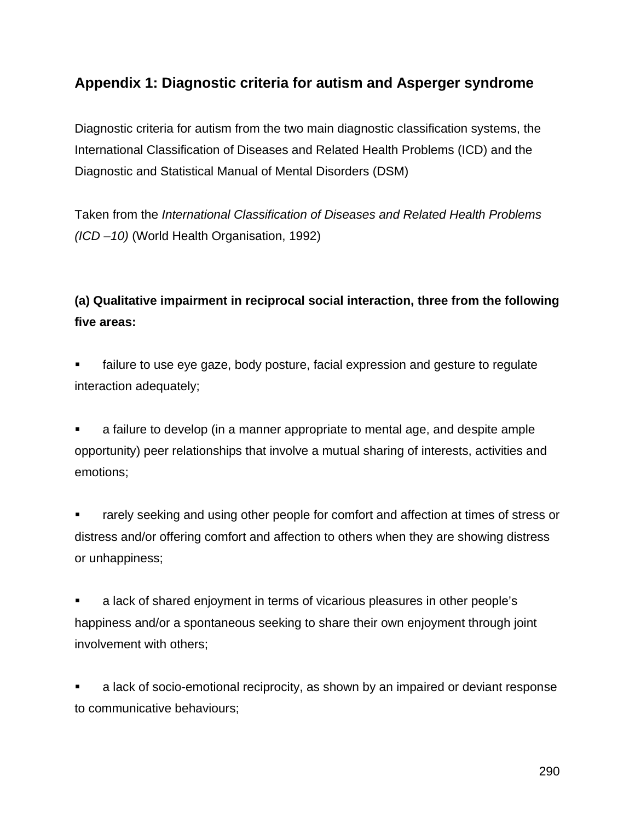### **Appendix 1: Diagnostic criteria for autism and Asperger syndrome**

Diagnostic criteria for autism from the two main diagnostic classification systems, the International Classification of Diseases and Related Health Problems (ICD) and the Diagnostic and Statistical Manual of Mental Disorders (DSM)

Taken from the *International Classification of Diseases and Related Health Problems (ICD –10)* (World Health Organisation, 1992)

## **(a) Qualitative impairment in reciprocal social interaction, three from the following five areas:**

 failure to use eye gaze, body posture, facial expression and gesture to regulate interaction adequately;

 a failure to develop (in a manner appropriate to mental age, and despite ample opportunity) peer relationships that involve a mutual sharing of interests, activities and emotions;

 rarely seeking and using other people for comfort and affection at times of stress or distress and/or offering comfort and affection to others when they are showing distress or unhappiness;

 a lack of shared enjoyment in terms of vicarious pleasures in other people's happiness and/or a spontaneous seeking to share their own enjoyment through joint involvement with others;

 a lack of socio-emotional reciprocity, as shown by an impaired or deviant response to communicative behaviours;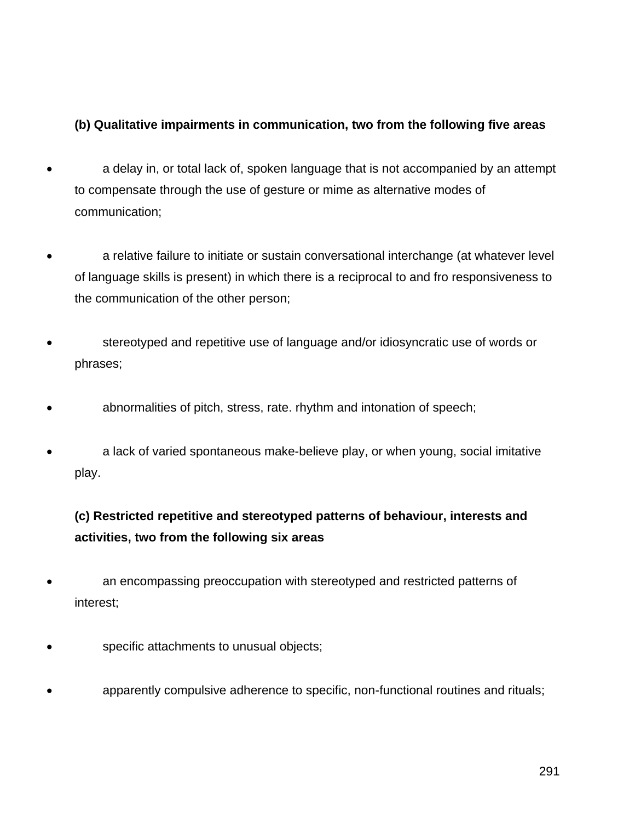### **(b) Qualitative impairments in communication, two from the following five areas**

- a delay in, or total lack of, spoken language that is not accompanied by an attempt to compensate through the use of gesture or mime as alternative modes of communication;
- a relative failure to initiate or sustain conversational interchange (at whatever level of language skills is present) in which there is a reciprocal to and fro responsiveness to the communication of the other person;
- stereotyped and repetitive use of language and/or idiosyncratic use of words or phrases;
- abnormalities of pitch, stress, rate. rhythm and intonation of speech;
- a lack of varied spontaneous make-believe play, or when young, social imitative play.

# **(c) Restricted repetitive and stereotyped patterns of behaviour, interests and activities, two from the following six areas**

- an encompassing preoccupation with stereotyped and restricted patterns of interest;
- specific attachments to unusual objects;
- apparently compulsive adherence to specific, non-functional routines and rituals;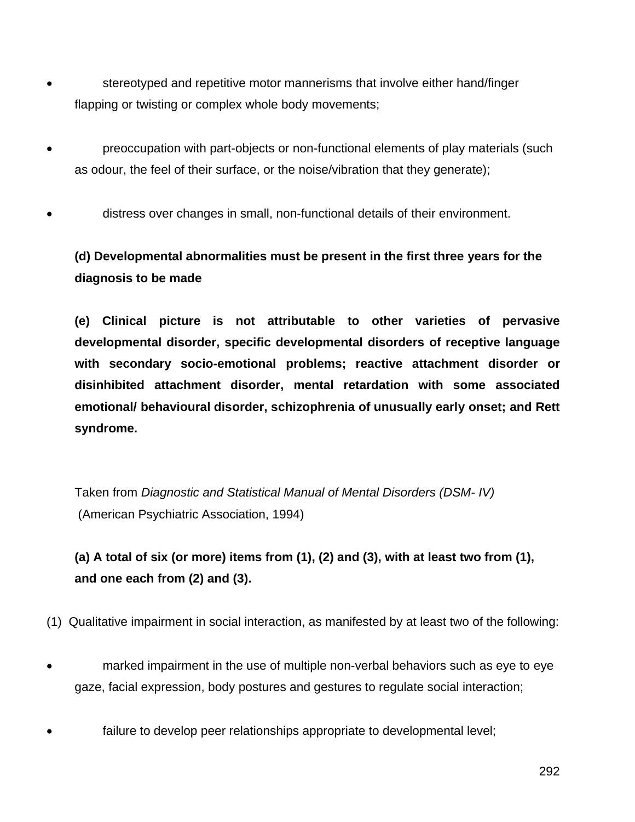- stereotyped and repetitive motor mannerisms that involve either hand/finger flapping or twisting or complex whole body movements;
- preoccupation with part-objects or non-functional elements of play materials (such as odour, the feel of their surface, or the noise/vibration that they generate);
- distress over changes in small, non-functional details of their environment.

### **(d) Developmental abnormalities must be present in the first three years for the diagnosis to be made**

**(e) Clinical picture is not attributable to other varieties of pervasive developmental disorder, specific developmental disorders of receptive language with secondary socio-emotional problems; reactive attachment disorder or disinhibited attachment disorder, mental retardation with some associated emotional/ behavioural disorder, schizophrenia of unusually early onset; and Rett syndrome.**

Taken from *Diagnostic and Statistical Manual of Mental Disorders (DSM- IV)* (American Psychiatric Association, 1994)

# **(a) A total of six (or more) items from (1), (2) and (3), with at least two from (1), and one each from (2) and (3).**

(1) Qualitative impairment in social interaction, as manifested by at least two of the following:

- marked impairment in the use of multiple non-verbal behaviors such as eye to eye gaze, facial expression, body postures and gestures to regulate social interaction;
- failure to develop peer relationships appropriate to developmental level;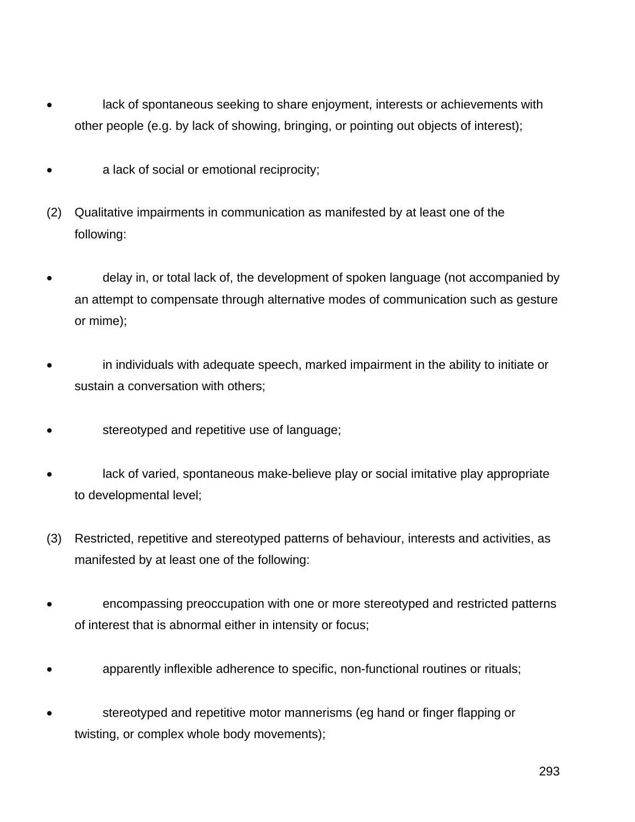- lack of spontaneous seeking to share enjoyment, interests or achievements with other people (e.g. by lack of showing, bringing, or pointing out objects of interest);
- a lack of social or emotional reciprocity;
- (2) Qualitative impairments in communication as manifested by at least one of the following:
- delay in, or total lack of, the development of spoken language (not accompanied by an attempt to compensate through alternative modes of communication such as gesture or mime);
- in individuals with adequate speech, marked impairment in the ability to initiate or sustain a conversation with others;
- stereotyped and repetitive use of language;
- lack of varied, spontaneous make-believe play or social imitative play appropriate to developmental level;
- (3) Restricted, repetitive and stereotyped patterns of behaviour, interests and activities, as manifested by at least one of the following:
- encompassing preoccupation with one or more stereotyped and restricted patterns of interest that is abnormal either in intensity or focus;
- apparently inflexible adherence to specific, non-functional routines or rituals;
- stereotyped and repetitive motor mannerisms (eg hand or finger flapping or twisting, or complex whole body movements);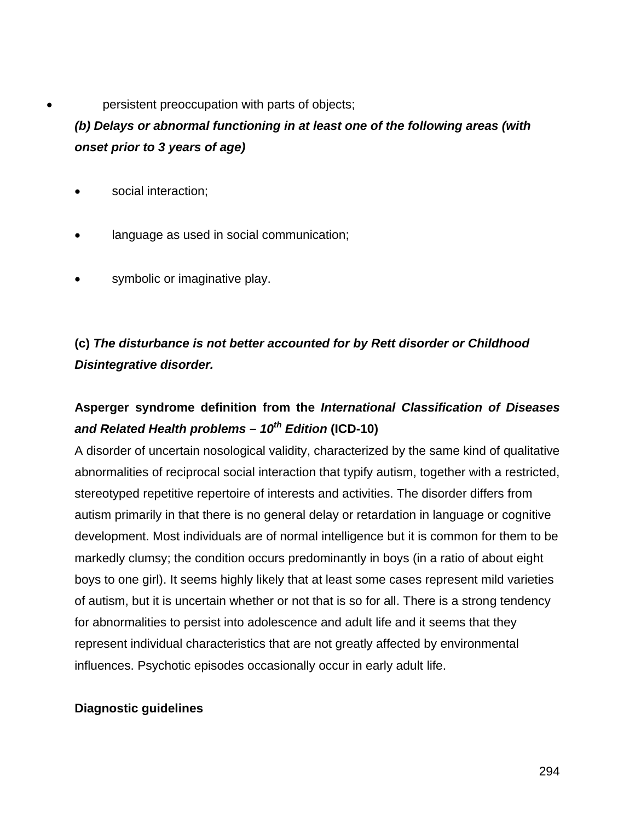#### persistent preoccupation with parts of objects;

### *(b) Delays or abnormal functioning in at least one of the following areas (with onset prior to 3 years of age)*

- social interaction;
- language as used in social communication;
- symbolic or imaginative play.

# **(c)** *The disturbance is not better accounted for by Rett disorder or Childhood Disintegrative disorder.*

### **Asperger syndrome definition from the** *International Classification of Diseases and Related Health problems – 10th Edition* **(ICD-10)**

A disorder of uncertain nosological validity, characterized by the same kind of qualitative abnormalities of reciprocal social interaction that typify autism, together with a restricted, stereotyped repetitive repertoire of interests and activities. The disorder differs from autism primarily in that there is no general delay or retardation in language or cognitive development. Most individuals are of normal intelligence but it is common for them to be markedly clumsy; the condition occurs predominantly in boys (in a ratio of about eight boys to one girl). It seems highly likely that at least some cases represent mild varieties of autism, but it is uncertain whether or not that is so for all. There is a strong tendency for abnormalities to persist into adolescence and adult life and it seems that they represent individual characteristics that are not greatly affected by environmental influences. Psychotic episodes occasionally occur in early adult life.

### **Diagnostic guidelines**